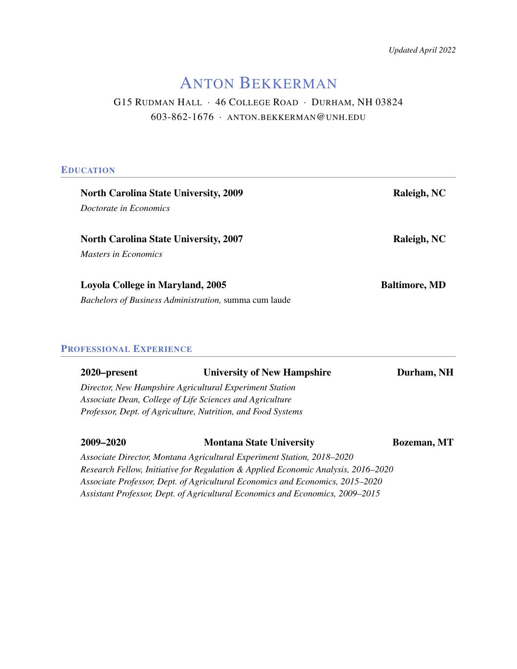*Updated April 2022*

# ANTON BEKKERMAN

# G15 RUDMAN HALL · 46 COLLEGE ROAD · DURHAM, NH 03824 603-862-1676 · ANTON.[BEKKERMAN](mailto:anton.bekkerman@unh.edu)@UNH.EDU

# **EDUCATION**

| <b>North Carolina State University, 2009</b>          | Raleigh, NC          |
|-------------------------------------------------------|----------------------|
| Doctorate in Economics                                |                      |
|                                                       |                      |
| <b>North Carolina State University, 2007</b>          | Raleigh, NC          |
| <i>Masters in Economics</i>                           |                      |
|                                                       |                      |
| Loyola College in Maryland, 2005                      | <b>Baltimore, MD</b> |
| Bachelors of Business Administration, summa cum laude |                      |
|                                                       |                      |

# PROFESSIONAL EXPERIENCE

| 2020–present | <b>University of New Hampshire</b>                                                | Durham, NH          |
|--------------|-----------------------------------------------------------------------------------|---------------------|
|              | Director, New Hampshire Agricultural Experiment Station                           |                     |
|              | Associate Dean, College of Life Sciences and Agriculture                          |                     |
|              | Professor, Dept. of Agriculture, Nutrition, and Food Systems                      |                     |
|              |                                                                                   |                     |
| 2009-2020    | <b>Montana State University</b>                                                   | <b>Bozeman</b> , MT |
|              | Associate Director, Montana Agricultural Experiment Station, 2018-2020            |                     |
|              | Research Fellow, Initiative for Regulation & Applied Economic Analysis, 2016–2020 |                     |
|              | Associate Professor, Dept. of Agricultural Economics and Economics, 2015-2020     |                     |

*Assistant Professor, Dept. of Agricultural Economics and Economics, 2009–2015*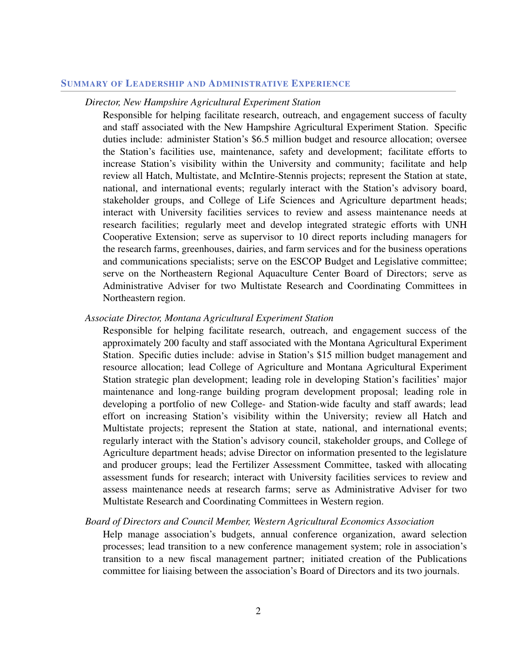#### SUMMARY OF LEADERSHIP AND ADMINISTRATIVE EXPERIENCE

#### *Director, New Hampshire Agricultural Experiment Station*

Responsible for helping facilitate research, outreach, and engagement success of faculty and staff associated with the New Hampshire Agricultural Experiment Station. Specific duties include: administer Station's \$6.5 million budget and resource allocation; oversee the Station's facilities use, maintenance, safety and development; facilitate efforts to increase Station's visibility within the University and community; facilitate and help review all Hatch, Multistate, and McIntire-Stennis projects; represent the Station at state, national, and international events; regularly interact with the Station's advisory board, stakeholder groups, and College of Life Sciences and Agriculture department heads; interact with University facilities services to review and assess maintenance needs at research facilities; regularly meet and develop integrated strategic efforts with UNH Cooperative Extension; serve as supervisor to 10 direct reports including managers for the research farms, greenhouses, dairies, and farm services and for the business operations and communications specialists; serve on the ESCOP Budget and Legislative committee; serve on the Northeastern Regional Aquaculture Center Board of Directors; serve as Administrative Adviser for two Multistate Research and Coordinating Committees in Northeastern region.

#### *Associate Director, Montana Agricultural Experiment Station*

Responsible for helping facilitate research, outreach, and engagement success of the approximately 200 faculty and staff associated with the Montana Agricultural Experiment Station. Specific duties include: advise in Station's \$15 million budget management and resource allocation; lead College of Agriculture and Montana Agricultural Experiment Station strategic plan development; leading role in developing Station's facilities' major maintenance and long-range building program development proposal; leading role in developing a portfolio of new College- and Station-wide faculty and staff awards; lead effort on increasing Station's visibility within the University; review all Hatch and Multistate projects; represent the Station at state, national, and international events; regularly interact with the Station's advisory council, stakeholder groups, and College of Agriculture department heads; advise Director on information presented to the legislature and producer groups; lead the Fertilizer Assessment Committee, tasked with allocating assessment funds for research; interact with University facilities services to review and assess maintenance needs at research farms; serve as Administrative Adviser for two Multistate Research and Coordinating Committees in Western region.

#### *Board of Directors and Council Member, Western Agricultural Economics Association*

Help manage association's budgets, annual conference organization, award selection processes; lead transition to a new conference management system; role in association's transition to a new fiscal management partner; initiated creation of the Publications committee for liaising between the association's Board of Directors and its two journals.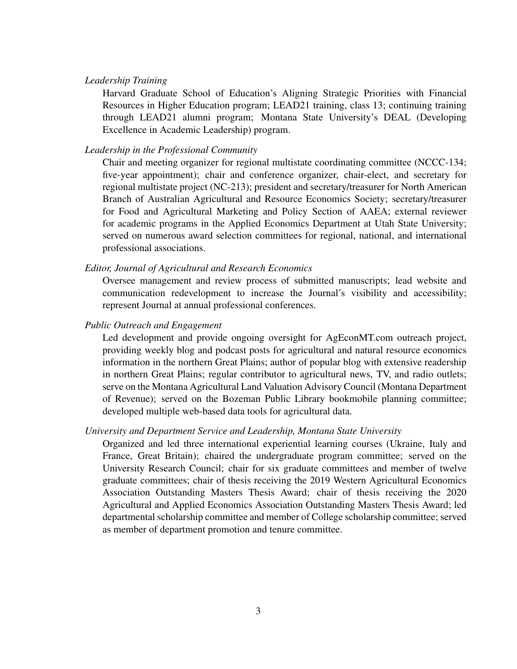#### *Leadership Training*

Harvard Graduate School of Education's Aligning Strategic Priorities with Financial Resources in Higher Education program; LEAD21 training, class 13; continuing training through LEAD21 alumni program; Montana State University's DEAL (Developing Excellence in Academic Leadership) program.

## *Leadership in the Professional Community*

Chair and meeting organizer for regional multistate coordinating committee (NCCC-134; five-year appointment); chair and conference organizer, chair-elect, and secretary for regional multistate project (NC-213); president and secretary/treasurer for North American Branch of Australian Agricultural and Resource Economics Society; secretary/treasurer for Food and Agricultural Marketing and Policy Section of AAEA; external reviewer for academic programs in the Applied Economics Department at Utah State University; served on numerous award selection committees for regional, national, and international professional associations.

#### *Editor, Journal of Agricultural and Research Economics*

Oversee management and review process of submitted manuscripts; lead website and communication redevelopment to increase the Journal's visibility and accessibility; represent Journal at annual professional conferences.

#### *Public Outreach and Engagement*

Led development and provide ongoing oversight for AgEconMT.com outreach project, providing weekly blog and podcast posts for agricultural and natural resource economics information in the northern Great Plains; author of popular blog with extensive readership in northern Great Plains; regular contributor to agricultural news, TV, and radio outlets; serve on the Montana Agricultural Land Valuation Advisory Council (Montana Department of Revenue); served on the Bozeman Public Library bookmobile planning committee; developed multiple web-based data tools for agricultural data.

#### *University and Department Service and Leadership, Montana State University*

Organized and led three international experiential learning courses (Ukraine, Italy and France, Great Britain); chaired the undergraduate program committee; served on the University Research Council; chair for six graduate committees and member of twelve graduate committees; chair of thesis receiving the 2019 Western Agricultural Economics Association Outstanding Masters Thesis Award; chair of thesis receiving the 2020 Agricultural and Applied Economics Association Outstanding Masters Thesis Award; led departmental scholarship committee and member of College scholarship committee; served as member of department promotion and tenure committee.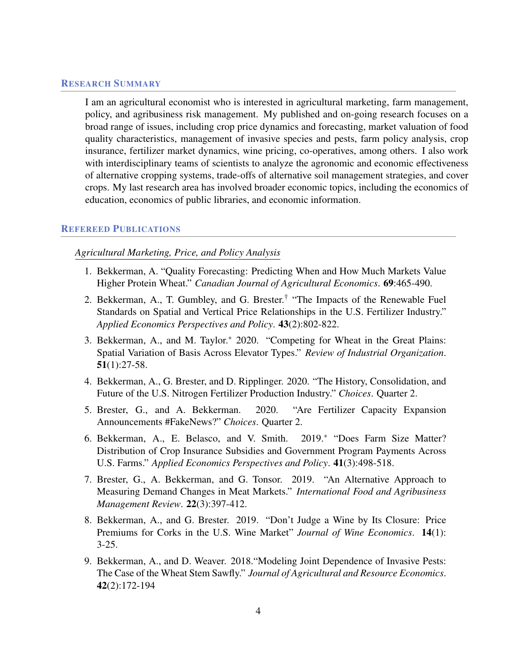# RESEARCH SUMMARY

I am an agricultural economist who is interested in agricultural marketing, farm management, policy, and agribusiness risk management. My published and on-going research focuses on a broad range of issues, including crop price dynamics and forecasting, market valuation of food quality characteristics, management of invasive species and pests, farm policy analysis, crop insurance, fertilizer market dynamics, wine pricing, co-operatives, among others. I also work with interdisciplinary teams of scientists to analyze the agronomic and economic effectiveness of alternative cropping systems, trade-offs of alternative soil management strategies, and cover crops. My last research area has involved broader economic topics, including the economics of education, economics of public libraries, and economic information.

#### REFEREED PUBLICATIONS

## *Agricultural Marketing, Price, and Policy Analysis*

- 1. Bekkerman, A. "Quality Forecasting: Predicting When and How Much Markets Value Higher Protein Wheat." *Canadian Journal of Agricultural Economics*. 69:465-490.
- 2. Bekkerman, A., T. Gumbley, and G. Brester.<sup>†</sup> "The Impacts of the Renewable Fuel Standards on Spatial and Vertical Price Relationships in the U.S. Fertilizer Industry." *Applied Economics Perspectives and Policy*. 43(2):802-822.
- 3. Bekkerman, A., and M. Taylor.<sup>∗</sup> 2020. "Competing for Wheat in the Great Plains: Spatial Variation of Basis Across Elevator Types." *Review of Industrial Organization*. 51(1):27-58.
- 4. Bekkerman, A., G. Brester, and D. Ripplinger. 2020. "The History, Consolidation, and Future of the U.S. Nitrogen Fertilizer Production Industry." *Choices*. Quarter 2.
- 5. Brester, G., and A. Bekkerman. 2020. "Are Fertilizer Capacity Expansion Announcements #FakeNews?" *Choices*. Quarter 2.
- 6. Bekkerman, A., E. Belasco, and V. Smith. 2019.\* "Does Farm Size Matter? Distribution of Crop Insurance Subsidies and Government Program Payments Across U.S. Farms." *Applied Economics Perspectives and Policy*. 41(3):498-518.
- 7. Brester, G., A. Bekkerman, and G. Tonsor. 2019. "An Alternative Approach to Measuring Demand Changes in Meat Markets." *International Food and Agribusiness Management Review*. 22(3):397-412.
- 8. Bekkerman, A., and G. Brester. 2019. "Don't Judge a Wine by Its Closure: Price Premiums for Corks in the U.S. Wine Market" *Journal of Wine Economics*. 14(1): 3-25.
- 9. Bekkerman, A., and D. Weaver. 2018."Modeling Joint Dependence of Invasive Pests: The Case of the Wheat Stem Sawfly." *Journal of Agricultural and Resource Economics*. 42(2):172-194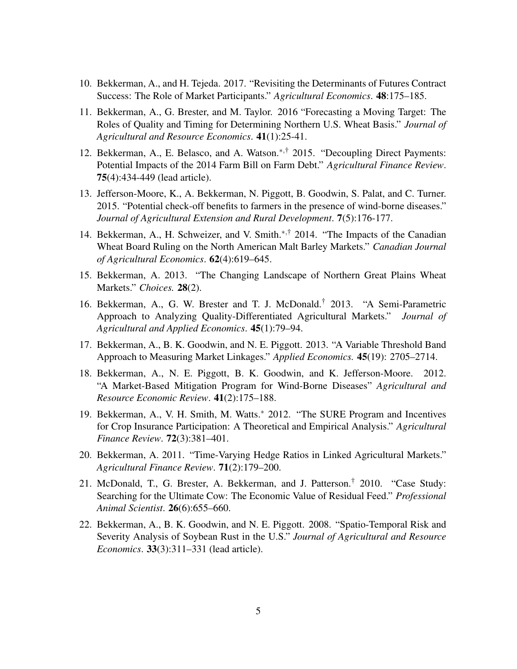- 10. Bekkerman, A., and H. Tejeda. 2017. "Revisiting the Determinants of Futures Contract Success: The Role of Market Participants." *Agricultural Economics*. 48:175–185.
- 11. Bekkerman, A., G. Brester, and M. Taylor. 2016 "Forecasting a Moving Target: The Roles of Quality and Timing for Determining Northern U.S. Wheat Basis." *Journal of Agricultural and Resource Economics*. 41(1):25-41.
- 12. Bekkerman, A., E. Belasco, and A. Watson.∗,† 2015. "Decoupling Direct Payments: Potential Impacts of the 2014 Farm Bill on Farm Debt." *Agricultural Finance Review*. 75(4):434-449 (lead article).
- 13. Jefferson-Moore, K., A. Bekkerman, N. Piggott, B. Goodwin, S. Palat, and C. Turner. 2015. "Potential check-off benefits to farmers in the presence of wind-borne diseases." *Journal of Agricultural Extension and Rural Development*. 7(5):176-177.
- 14. Bekkerman, A., H. Schweizer, and V. Smith.∗,† 2014. "The Impacts of the Canadian Wheat Board Ruling on the North American Malt Barley Markets." *Canadian Journal of Agricultural Economics*. 62(4):619–645.
- 15. Bekkerman, A. 2013. "The Changing Landscape of Northern Great Plains Wheat Markets." *Choices.* 28(2).
- 16. Bekkerman, A., G. W. Brester and T. J. McDonald.† 2013. "A Semi-Parametric Approach to Analyzing Quality-Differentiated Agricultural Markets." *Journal of Agricultural and Applied Economics*. 45(1):79–94.
- 17. Bekkerman, A., B. K. Goodwin, and N. E. Piggott. 2013. "A Variable Threshold Band Approach to Measuring Market Linkages." *Applied Economics.* 45(19): 2705–2714.
- 18. Bekkerman, A., N. E. Piggott, B. K. Goodwin, and K. Jefferson-Moore. 2012. "A Market-Based Mitigation Program for Wind-Borne Diseases" *Agricultural and Resource Economic Review*. 41(2):175–188.
- 19. Bekkerman, A., V. H. Smith, M. Watts.<sup>∗</sup> 2012. "The SURE Program and Incentives for Crop Insurance Participation: A Theoretical and Empirical Analysis." *Agricultural Finance Review*. 72(3):381–401.
- 20. Bekkerman, A. 2011. "Time-Varying Hedge Ratios in Linked Agricultural Markets." *Agricultural Finance Review*. 71(2):179–200.
- 21. McDonald, T., G. Brester, A. Bekkerman, and J. Patterson.† 2010. "Case Study: Searching for the Ultimate Cow: The Economic Value of Residual Feed." *Professional Animal Scientist*. 26(6):655–660.
- 22. Bekkerman, A., B. K. Goodwin, and N. E. Piggott. 2008. "Spatio-Temporal Risk and Severity Analysis of Soybean Rust in the U.S." *Journal of Agricultural and Resource Economics*. 33(3):311–331 (lead article).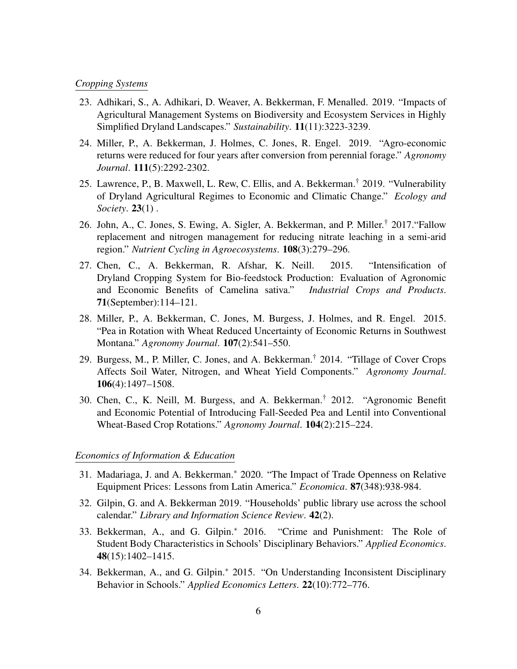#### *Cropping Systems*

- 23. Adhikari, S., A. Adhikari, D. Weaver, A. Bekkerman, F. Menalled. 2019. "Impacts of Agricultural Management Systems on Biodiversity and Ecosystem Services in Highly Simplified Dryland Landscapes." *Sustainability*. 11(11):3223-3239.
- 24. Miller, P., A. Bekkerman, J. Holmes, C. Jones, R. Engel. 2019. "Agro-economic returns were reduced for four years after conversion from perennial forage." *Agronomy Journal*. 111(5):2292-2302.
- 25. Lawrence, P., B. Maxwell, L. Rew, C. Ellis, and A. Bekkerman.† 2019. "Vulnerability of Dryland Agricultural Regimes to Economic and Climatic Change." *Ecology and Society*. 23(1) .
- 26. John, A., C. Jones, S. Ewing, A. Sigler, A. Bekkerman, and P. Miller.† 2017."Fallow replacement and nitrogen management for reducing nitrate leaching in a semi-arid region." *Nutrient Cycling in Agroecosystems*. 108(3):279–296.
- 27. Chen, C., A. Bekkerman, R. Afshar, K. Neill. 2015. "Intensification of Dryland Cropping System for Bio-feedstock Production: Evaluation of Agronomic and Economic Benefits of Camelina sativa." *Industrial Crops and Products*. 71(September):114–121.
- 28. Miller, P., A. Bekkerman, C. Jones, M. Burgess, J. Holmes, and R. Engel. 2015. "Pea in Rotation with Wheat Reduced Uncertainty of Economic Returns in Southwest Montana." *Agronomy Journal*. 107(2):541–550.
- 29. Burgess, M., P. Miller, C. Jones, and A. Bekkerman.† 2014. "Tillage of Cover Crops Affects Soil Water, Nitrogen, and Wheat Yield Components." *Agronomy Journal*. 106(4):1497–1508.
- 30. Chen, C., K. Neill, M. Burgess, and A. Bekkerman.† 2012. "Agronomic Benefit and Economic Potential of Introducing Fall-Seeded Pea and Lentil into Conventional Wheat-Based Crop Rotations." *Agronomy Journal*. 104(2):215–224.

# *Economics of Information & Education*

- 31. Madariaga, J. and A. Bekkerman.<sup>∗</sup> 2020. "The Impact of Trade Openness on Relative Equipment Prices: Lessons from Latin America." *Economica*. 87(348):938-984.
- 32. Gilpin, G. and A. Bekkerman 2019. "Households' public library use across the school calendar." *Library and Information Science Review*. 42(2).
- 33. Bekkerman, A., and G. Gilpin.<sup>∗</sup> 2016. "Crime and Punishment: The Role of Student Body Characteristics in Schools' Disciplinary Behaviors." *Applied Economics*. 48(15):1402–1415.
- 34. Bekkerman, A., and G. Gilpin.<sup>∗</sup> 2015. "On Understanding Inconsistent Disciplinary Behavior in Schools." *Applied Economics Letters*. 22(10):772–776.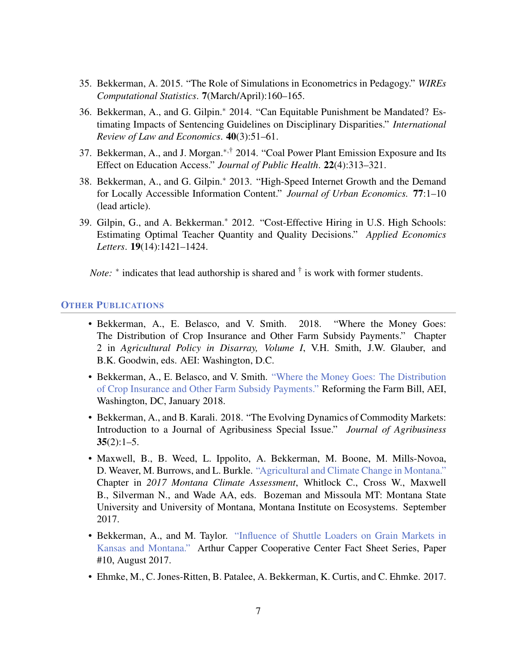- 35. Bekkerman, A. 2015. "The Role of Simulations in Econometrics in Pedagogy." *WIREs Computational Statistics*. 7(March/April):160–165.
- 36. Bekkerman, A., and G. Gilpin.<sup>∗</sup> 2014. "Can Equitable Punishment be Mandated? Estimating Impacts of Sentencing Guidelines on Disciplinary Disparities." *International Review of Law and Economics*. 40(3):51–61.
- 37. Bekkerman, A., and J. Morgan.<sup>∗,†</sup> 2014. "Coal Power Plant Emission Exposure and Its Effect on Education Access." *Journal of Public Health*. 22(4):313–321.
- 38. Bekkerman, A., and G. Gilpin.<sup>∗</sup> 2013. "High-Speed Internet Growth and the Demand for Locally Accessible Information Content." *Journal of Urban Economics.* 77:1–10 (lead article).
- 39. Gilpin, G., and A. Bekkerman.<sup>∗</sup> 2012. "Cost-Effective Hiring in U.S. High Schools: Estimating Optimal Teacher Quantity and Quality Decisions." *Applied Economics Letters*. 19(14):1421–1424.

*Note*: \* indicates that lead authorship is shared and <sup>†</sup> is work with former students.

#### **OTHER PUBLICATIONS**

- Bekkerman, A., E. Belasco, and V. Smith. 2018. "Where the Money Goes: The Distribution of Crop Insurance and Other Farm Subsidy Payments." Chapter 2 in *Agricultural Policy in Disarray, Volume I*, V.H. Smith, J.W. Glauber, and B.K. Goodwin, eds. AEI: Washington, D.C.
- Bekkerman, A., E. Belasco, and V. Smith. ["Where the Money Goes: The Distribution](https://www.aei.org/publication/where-the-money-goes-the-distribution-of-crop-insurance-and-other-farm-subsidy-payments/) [of Crop Insurance and Other Farm Subsidy Payments."](https://www.aei.org/publication/where-the-money-goes-the-distribution-of-crop-insurance-and-other-farm-subsidy-payments/) Reforming the Farm Bill, AEI, Washington, DC, January 2018.
- Bekkerman, A., and B. Karali. 2018. "The Evolving Dynamics of Commodity Markets: Introduction to a Journal of Agribusiness Special Issue." *Journal of Agribusiness*  $35(2):1-5.$
- Maxwell, B., B. Weed, L. Ippolito, A. Bekkerman, M. Boone, M. Mills-Novoa, D. Weaver, M. Burrows, and L. Burkle. ["Agricultural and Climate Change in Montana."](http://montanaclimate.org/chapter/agriculture) Chapter in *2017 Montana Climate Assessment*, Whitlock C., Cross W., Maxwell B., Silverman N., and Wade AA, eds. Bozeman and Missoula MT: Montana State University and University of Montana, Montana Institute on Ecosystems. September 2017.
- Bekkerman, A., and M. Taylor. ["Influence of Shuttle Loaders on Grain Markets in](https://www.agmanager.info/sites/default/files/pdf/ACCC_FactSheet-10_ShuttleLoaders-KS-MT.pdf) [Kansas and Montana."](https://www.agmanager.info/sites/default/files/pdf/ACCC_FactSheet-10_ShuttleLoaders-KS-MT.pdf) Arthur Capper Cooperative Center Fact Sheet Series, Paper #10, August 2017.
- Ehmke, M., C. Jones-Ritten, B. Patalee, A. Bekkerman, K. Curtis, and C. Ehmke. 2017.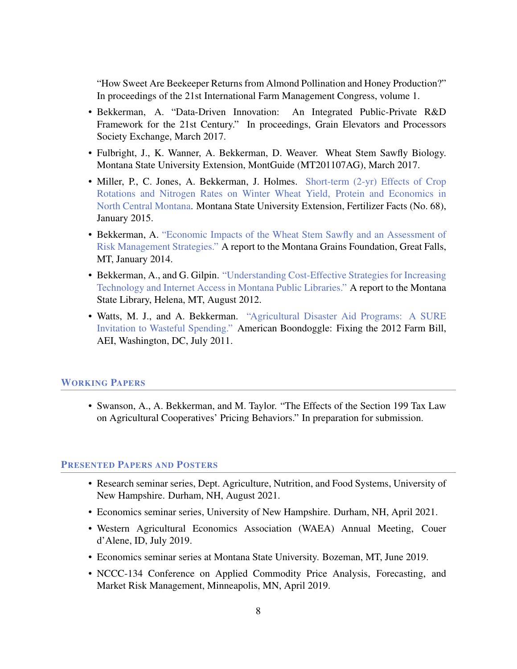"How Sweet Are Beekeeper Returns from Almond Pollination and Honey Production?" In proceedings of the 21st International Farm Management Congress, volume 1.

- Bekkerman, A. "Data-Driven Innovation: An Integrated Public-Private R&D Framework for the 21st Century." In proceedings, Grain Elevators and Processors Society Exchange, March 2017.
- Fulbright, J., K. Wanner, A. Bekkerman, D. Weaver. Wheat Stem Sawfly Biology. Montana State University Extension, MontGuide (MT201107AG), March 2017.
- Miller, P., C. Jones, A. Bekkerman, J. Holmes. [Short-term \(2-yr\) Effects of Crop](http://landresources.montana.edu/fertilizerfacts/documents/FF68%20CropRotationNWheatYieldProtEcon.pdf) [Rotations and Nitrogen Rates on Winter Wheat Yield, Protein and Economics in](http://landresources.montana.edu/fertilizerfacts/documents/FF68%20CropRotationNWheatYieldProtEcon.pdf) [North Central Montana.](http://landresources.montana.edu/fertilizerfacts/documents/FF68%20CropRotationNWheatYieldProtEcon.pdf) Montana State University Extension, Fertilizer Facts (No. 68), January 2015.
- Bekkerman, A. ["Economic Impacts of the Wheat Stem Sawfly and an Assessment of](http://www.montana.edu/bekkerman/docs/sawfly_economics_final.pdf) [Risk Management Strategies."](http://www.montana.edu/bekkerman/docs/sawfly_economics_final.pdf) A report to the Montana Grains Foundation, Great Falls, MT, January 2014.
- Bekkerman, A., and G. Gilpin. ["Understanding Cost-Effective Strategies for Increasing](http://msl.mt.gov/BTOP/InternetStudyFinalwForward.pdf) [Technology and Internet Access in Montana Public Libraries."](http://msl.mt.gov/BTOP/InternetStudyFinalwForward.pdf) A report to the Montana State Library, Helena, MT, August 2012.
- Watts, M. J., and A. Bekkerman. ["Agricultural Disaster Aid Programs: A SURE](http://www.aei.org/files/2011/11/04/-agricultural-disaster-aid-programs-a-sure-invitation-to-wasteful-spending_152350984526.pdf) [Invitation to Wasteful Spending."](http://www.aei.org/files/2011/11/04/-agricultural-disaster-aid-programs-a-sure-invitation-to-wasteful-spending_152350984526.pdf) American Boondoggle: Fixing the 2012 Farm Bill, AEI, Washington, DC, July 2011.

## WORKING PAPERS

• Swanson, A., A. Bekkerman, and M. Taylor. "The Effects of the Section 199 Tax Law on Agricultural Cooperatives' Pricing Behaviors." In preparation for submission.

### PRESENTED PAPERS AND POSTERS

- Research seminar series, Dept. Agriculture, Nutrition, and Food Systems, University of New Hampshire. Durham, NH, August 2021.
- Economics seminar series, University of New Hampshire. Durham, NH, April 2021.
- Western Agricultural Economics Association (WAEA) Annual Meeting, Couer d'Alene, ID, July 2019.
- Economics seminar series at Montana State University. Bozeman, MT, June 2019.
- NCCC-134 Conference on Applied Commodity Price Analysis, Forecasting, and Market Risk Management, Minneapolis, MN, April 2019.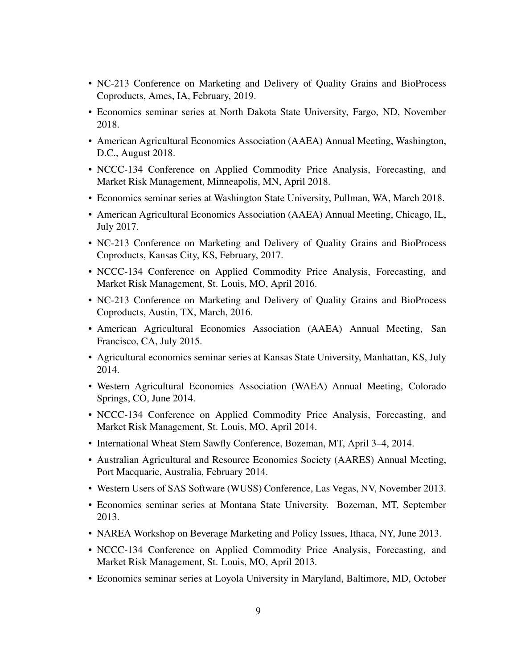- NC-213 Conference on Marketing and Delivery of Quality Grains and BioProcess Coproducts, Ames, IA, February, 2019.
- Economics seminar series at North Dakota State University, Fargo, ND, November 2018.
- American Agricultural Economics Association (AAEA) Annual Meeting, Washington, D.C., August 2018.
- NCCC-134 Conference on Applied Commodity Price Analysis, Forecasting, and Market Risk Management, Minneapolis, MN, April 2018.
- Economics seminar series at Washington State University, Pullman, WA, March 2018.
- American Agricultural Economics Association (AAEA) Annual Meeting, Chicago, IL, July 2017.
- NC-213 Conference on Marketing and Delivery of Quality Grains and BioProcess Coproducts, Kansas City, KS, February, 2017.
- NCCC-134 Conference on Applied Commodity Price Analysis, Forecasting, and Market Risk Management, St. Louis, MO, April 2016.
- NC-213 Conference on Marketing and Delivery of Quality Grains and BioProcess Coproducts, Austin, TX, March, 2016.
- American Agricultural Economics Association (AAEA) Annual Meeting, San Francisco, CA, July 2015.
- Agricultural economics seminar series at Kansas State University, Manhattan, KS, July 2014.
- Western Agricultural Economics Association (WAEA) Annual Meeting, Colorado Springs, CO, June 2014.
- NCCC-134 Conference on Applied Commodity Price Analysis, Forecasting, and Market Risk Management, St. Louis, MO, April 2014.
- International Wheat Stem Sawfly Conference, Bozeman, MT, April 3–4, 2014.
- Australian Agricultural and Resource Economics Society (AARES) Annual Meeting, Port Macquarie, Australia, February 2014.
- Western Users of SAS Software (WUSS) Conference, Las Vegas, NV, November 2013.
- Economics seminar series at Montana State University. Bozeman, MT, September 2013.
- NAREA Workshop on Beverage Marketing and Policy Issues, Ithaca, NY, June 2013.
- NCCC-134 Conference on Applied Commodity Price Analysis, Forecasting, and Market Risk Management, St. Louis, MO, April 2013.
- Economics seminar series at Loyola University in Maryland, Baltimore, MD, October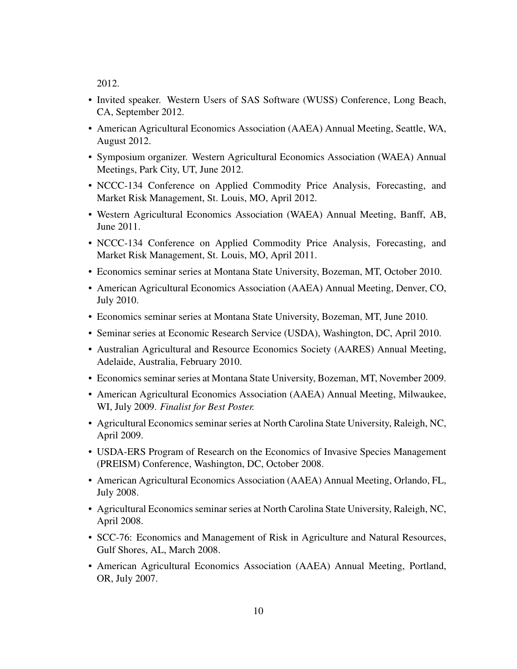2012.

- Invited speaker. Western Users of SAS Software (WUSS) Conference, Long Beach, CA, September 2012.
- American Agricultural Economics Association (AAEA) Annual Meeting, Seattle, WA, August 2012.
- Symposium organizer. Western Agricultural Economics Association (WAEA) Annual Meetings, Park City, UT, June 2012.
- NCCC-134 Conference on Applied Commodity Price Analysis, Forecasting, and Market Risk Management, St. Louis, MO, April 2012.
- Western Agricultural Economics Association (WAEA) Annual Meeting, Banff, AB, June 2011.
- NCCC-134 Conference on Applied Commodity Price Analysis, Forecasting, and Market Risk Management, St. Louis, MO, April 2011.
- Economics seminar series at Montana State University, Bozeman, MT, October 2010.
- American Agricultural Economics Association (AAEA) Annual Meeting, Denver, CO, July 2010.
- Economics seminar series at Montana State University, Bozeman, MT, June 2010.
- Seminar series at Economic Research Service (USDA), Washington, DC, April 2010.
- Australian Agricultural and Resource Economics Society (AARES) Annual Meeting, Adelaide, Australia, February 2010.
- Economics seminar series at Montana State University, Bozeman, MT, November 2009.
- American Agricultural Economics Association (AAEA) Annual Meeting, Milwaukee, WI, July 2009. *Finalist for Best Poster.*
- Agricultural Economics seminar series at North Carolina State University, Raleigh, NC, April 2009.
- USDA-ERS Program of Research on the Economics of Invasive Species Management (PREISM) Conference, Washington, DC, October 2008.
- American Agricultural Economics Association (AAEA) Annual Meeting, Orlando, FL, July 2008.
- Agricultural Economics seminar series at North Carolina State University, Raleigh, NC, April 2008.
- SCC-76: Economics and Management of Risk in Agriculture and Natural Resources, Gulf Shores, AL, March 2008.
- American Agricultural Economics Association (AAEA) Annual Meeting, Portland, OR, July 2007.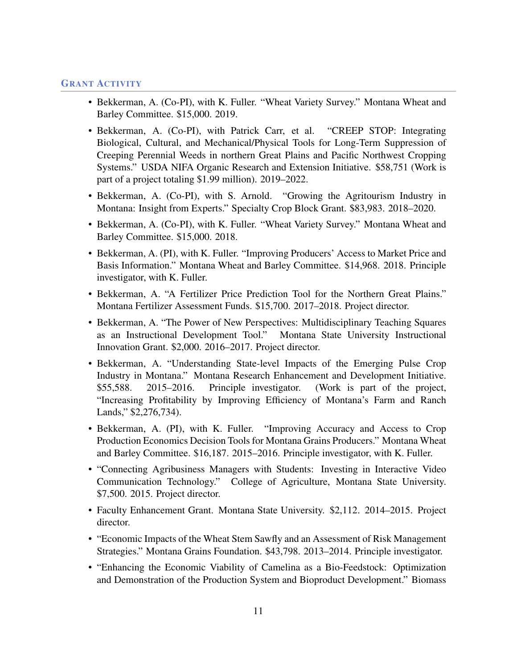## GRANT ACTIVITY

- Bekkerman, A. (Co-PI), with K. Fuller. "Wheat Variety Survey." Montana Wheat and Barley Committee. \$15,000. 2019.
- Bekkerman, A. (Co-PI), with Patrick Carr, et al. "CREEP STOP: Integrating Biological, Cultural, and Mechanical/Physical Tools for Long-Term Suppression of Creeping Perennial Weeds in northern Great Plains and Pacific Northwest Cropping Systems." USDA NIFA Organic Research and Extension Initiative. \$58,751 (Work is part of a project totaling \$1.99 million). 2019–2022.
- Bekkerman, A. (Co-PI), with S. Arnold. "Growing the Agritourism Industry in Montana: Insight from Experts." Specialty Crop Block Grant. \$83,983. 2018–2020.
- Bekkerman, A. (Co-PI), with K. Fuller. "Wheat Variety Survey." Montana Wheat and Barley Committee. \$15,000. 2018.
- Bekkerman, A. (PI), with K. Fuller. "Improving Producers' Access to Market Price and Basis Information." Montana Wheat and Barley Committee. \$14,968. 2018. Principle investigator, with K. Fuller.
- Bekkerman, A. "A Fertilizer Price Prediction Tool for the Northern Great Plains." Montana Fertilizer Assessment Funds. \$15,700. 2017–2018. Project director.
- Bekkerman, A. "The Power of New Perspectives: Multidisciplinary Teaching Squares as an Instructional Development Tool." Montana State University Instructional Innovation Grant. \$2,000. 2016–2017. Project director.
- Bekkerman, A. "Understanding State-level Impacts of the Emerging Pulse Crop Industry in Montana." Montana Research Enhancement and Development Initiative. \$55,588. 2015–2016. Principle investigator. (Work is part of the project, "Increasing Profitability by Improving Efficiency of Montana's Farm and Ranch Lands," \$2,276,734).
- Bekkerman, A. (PI), with K. Fuller. "Improving Accuracy and Access to Crop Production Economics Decision Tools for Montana Grains Producers." Montana Wheat and Barley Committee. \$16,187. 2015–2016. Principle investigator, with K. Fuller.
- "Connecting Agribusiness Managers with Students: Investing in Interactive Video Communication Technology." College of Agriculture, Montana State University. \$7,500. 2015. Project director.
- Faculty Enhancement Grant. Montana State University. \$2,112. 2014–2015. Project director.
- "Economic Impacts of the Wheat Stem Sawfly and an Assessment of Risk Management Strategies." Montana Grains Foundation. \$43,798. 2013–2014. Principle investigator.
- "Enhancing the Economic Viability of Camelina as a Bio-Feedstock: Optimization and Demonstration of the Production System and Bioproduct Development." Biomass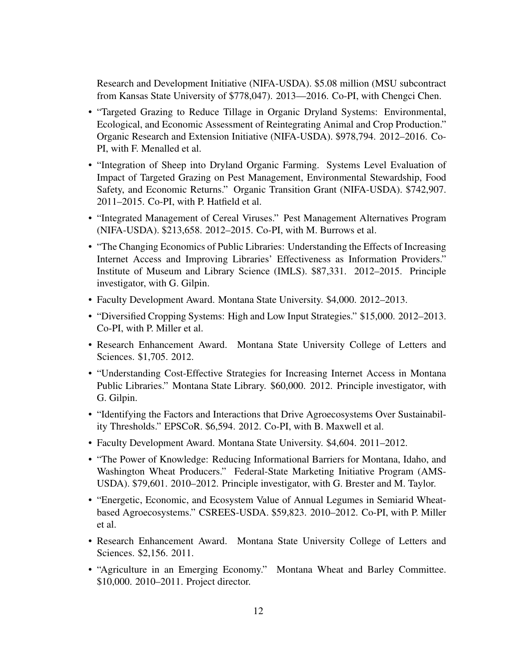Research and Development Initiative (NIFA-USDA). \$5.08 million (MSU subcontract from Kansas State University of \$778,047). 2013—2016. Co-PI, with Chengci Chen.

- "Targeted Grazing to Reduce Tillage in Organic Dryland Systems: Environmental, Ecological, and Economic Assessment of Reintegrating Animal and Crop Production." Organic Research and Extension Initiative (NIFA-USDA). \$978,794. 2012–2016. Co-PI, with F. Menalled et al.
- "Integration of Sheep into Dryland Organic Farming. Systems Level Evaluation of Impact of Targeted Grazing on Pest Management, Environmental Stewardship, Food Safety, and Economic Returns." Organic Transition Grant (NIFA-USDA). \$742,907. 2011–2015. Co-PI, with P. Hatfield et al.
- "Integrated Management of Cereal Viruses." Pest Management Alternatives Program (NIFA-USDA). \$213,658. 2012–2015. Co-PI, with M. Burrows et al.
- "The Changing Economics of Public Libraries: Understanding the Effects of Increasing Internet Access and Improving Libraries' Effectiveness as Information Providers." Institute of Museum and Library Science (IMLS). \$87,331. 2012–2015. Principle investigator, with G. Gilpin.
- Faculty Development Award. Montana State University. \$4,000. 2012–2013.
- "Diversified Cropping Systems: High and Low Input Strategies." \$15,000. 2012–2013. Co-PI, with P. Miller et al.
- Research Enhancement Award. Montana State University College of Letters and Sciences. \$1,705. 2012.
- "Understanding Cost-Effective Strategies for Increasing Internet Access in Montana Public Libraries." Montana State Library. \$60,000. 2012. Principle investigator, with G. Gilpin.
- "Identifying the Factors and Interactions that Drive Agroecosystems Over Sustainability Thresholds." EPSCoR. \$6,594. 2012. Co-PI, with B. Maxwell et al.
- Faculty Development Award. Montana State University. \$4,604. 2011–2012.
- "The Power of Knowledge: Reducing Informational Barriers for Montana, Idaho, and Washington Wheat Producers." Federal-State Marketing Initiative Program (AMS-USDA). \$79,601. 2010–2012. Principle investigator, with G. Brester and M. Taylor.
- "Energetic, Economic, and Ecosystem Value of Annual Legumes in Semiarid Wheatbased Agroecosystems." CSREES-USDA. \$59,823. 2010–2012. Co-PI, with P. Miller et al.
- Research Enhancement Award. Montana State University College of Letters and Sciences. \$2,156. 2011.
- "Agriculture in an Emerging Economy." Montana Wheat and Barley Committee. \$10,000. 2010–2011. Project director.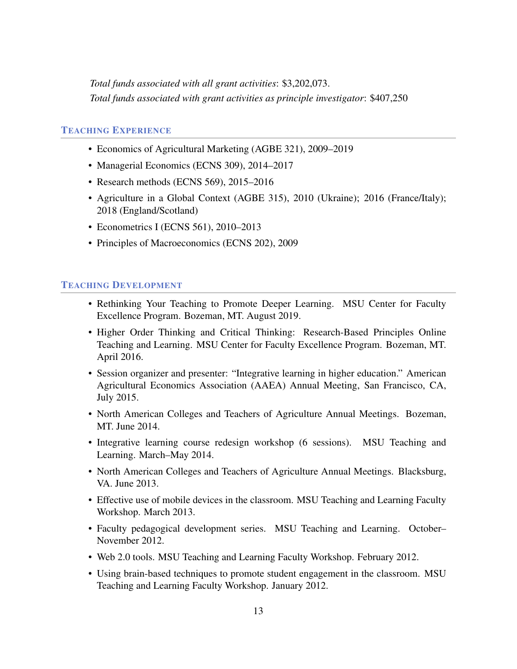*Total funds associated with all grant activities*: \$3,202,073. *Total funds associated with grant activities as principle investigator*: \$407,250

# TEACHING EXPERIENCE

- Economics of Agricultural Marketing (AGBE 321), 2009–2019
- Managerial Economics (ECNS 309), 2014–2017
- Research methods (ECNS 569), 2015–2016
- Agriculture in a Global Context (AGBE 315), 2010 (Ukraine); 2016 (France/Italy); 2018 (England/Scotland)
- Econometrics I (ECNS 561), 2010–2013
- Principles of Macroeconomics (ECNS 202), 2009

#### TEACHING DEVELOPMENT

- Rethinking Your Teaching to Promote Deeper Learning. MSU Center for Faculty Excellence Program. Bozeman, MT. August 2019.
- Higher Order Thinking and Critical Thinking: Research-Based Principles Online Teaching and Learning. MSU Center for Faculty Excellence Program. Bozeman, MT. April 2016.
- Session organizer and presenter: "Integrative learning in higher education." American Agricultural Economics Association (AAEA) Annual Meeting, San Francisco, CA, July 2015.
- North American Colleges and Teachers of Agriculture Annual Meetings. Bozeman, MT. June 2014.
- Integrative learning course redesign workshop (6 sessions). MSU Teaching and Learning. March–May 2014.
- North American Colleges and Teachers of Agriculture Annual Meetings. Blacksburg, VA. June 2013.
- Effective use of mobile devices in the classroom. MSU Teaching and Learning Faculty Workshop. March 2013.
- Faculty pedagogical development series. MSU Teaching and Learning. October– November 2012.
- Web 2.0 tools. MSU Teaching and Learning Faculty Workshop. February 2012.
- Using brain-based techniques to promote student engagement in the classroom. MSU Teaching and Learning Faculty Workshop. January 2012.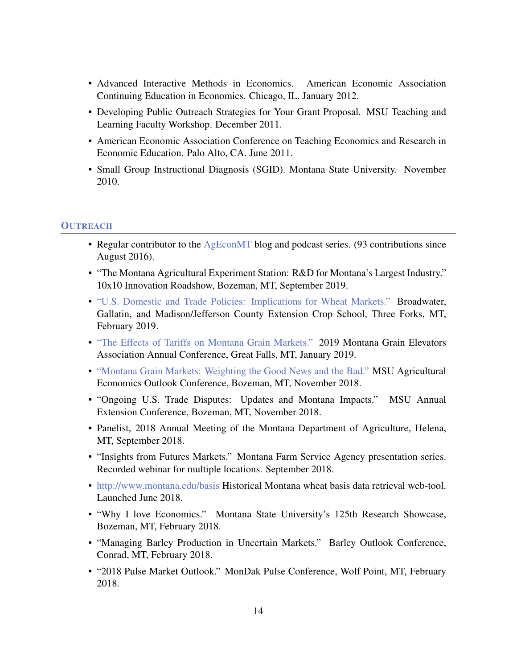- Advanced Interactive Methods in Economics. American Economic Association Continuing Education in Economics. Chicago, IL. January 2012.
- Developing Public Outreach Strategies for Your Grant Proposal. MSU Teaching and Learning Faculty Workshop. December 2011.
- American Economic Association Conference on Teaching Economics and Research in Economic Education. Palo Alto, CA. June 2011.
- Small Group Instructional Diagnosis (SGID). Montana State University. November 2010.

# **OUTREACH**

- Regular contributor to the [AgEconMT](http://www.ageconmt.com) blog and podcast series. (93 contributions since August 2016).
- "The Montana Agricultural Experiment Station: R&D for Montana's Largest Industry." 10x10 Innovation Roadshow, Bozeman, MT, September 2019.
- ["U.S. Domestic and Trade Policies: Implications for Wheat Markets."](https://create.piktochart.com/output/36635144-gallatin-broadwater-crop-school-2019) Broadwater, Gallatin, and Madison/Jefferson County Extension Crop School, Three Forks, MT, February 2019.
- ["The Effects of Tariffs on Montana Grain Markets."](https://create.piktochart.com/output/35737352-mgea-2019) 2019 Montana Grain Elevators Association Annual Conference, Great Falls, MT, January 2019.
- ["Montana Grain Markets: Weighting the Good News and the Bad."](https://create.piktochart.com/output/34045577-ag-conference-2018) MSU Agricultural Economics Outlook Conference, Bozeman, MT, November 2018.
- "Ongoing U.S. Trade Disputes: Updates and Montana Impacts." MSU Annual Extension Conference, Bozeman, MT, November 2018.
- Panelist, 2018 Annual Meeting of the Montana Department of Agriculture, Helena, MT, September 2018.
- "Insights from Futures Markets." Montana Farm Service Agency presentation series. Recorded webinar for multiple locations. September 2018.
- <http://www.montana.edu/basis> Historical Montana wheat basis data retrieval web-tool. Launched June 2018.
- "Why I love Economics." Montana State University's 125th Research Showcase, Bozeman, MT, February 2018.
- "Managing Barley Production in Uncertain Markets." Barley Outlook Conference, Conrad, MT, February 2018.
- "2018 Pulse Market Outlook." MonDak Pulse Conference, Wolf Point, MT, February 2018.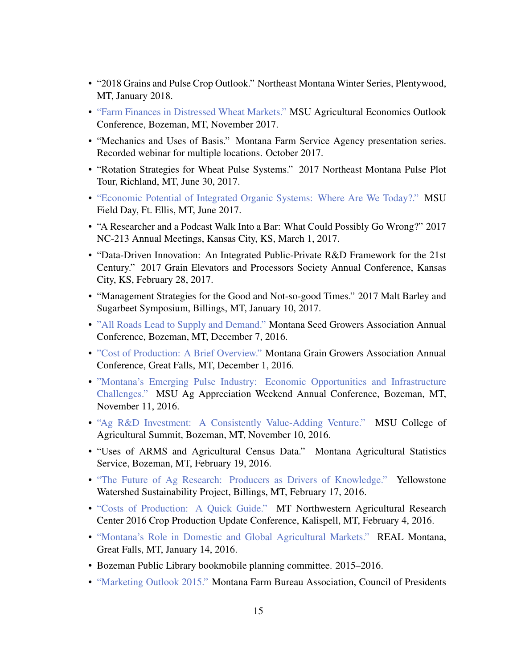- "2018 Grains and Pulse Crop Outlook." Northeast Montana Winter Series, Plentywood, MT, January 2018.
- ["Farm Finances in Distressed Wheat Markets."](https://create.piktochart.com/output/25759939-ag-conference-2017) MSU Agricultural Economics Outlook Conference, Bozeman, MT, November 2017.
- "Mechanics and Uses of Basis." Montana Farm Service Agency presentation series. Recorded webinar for multiple locations. October 2017.
- "Rotation Strategies for Wheat Pulse Systems." 2017 Northeast Montana Pulse Plot Tour, Richland, MT, June 30, 2017.
- ["Economic Potential of Integrated Organic Systems: Where Are We Today?."](https://create.piktochart.com/output/23105870-integrated-organic-economics) MSU Field Day, Ft. Ellis, MT, June 2017.
- "A Researcher and a Podcast Walk Into a Bar: What Could Possibly Go Wrong?" 2017 NC-213 Annual Meetings, Kansas City, KS, March 1, 2017.
- "Data-Driven Innovation: An Integrated Public-Private R&D Framework for the 21st Century." 2017 Grain Elevators and Processors Society Annual Conference, Kansas City, KS, February 28, 2017.
- "Management Strategies for the Good and Not-so-good Times." 2017 Malt Barley and Sugarbeet Symposium, Billings, MT, January 10, 2017.
- ["All Roads Lead to Supply and Demand."](https://magic.piktochart.com/output/18707631-mt-seed-conference-dec-7-2016) Montana Seed Growers Association Annual Conference, Bozeman, MT, December 7, 2016.
- ["Cost of Production: A Brief Overview."](https://magic.piktochart.com/output/18354410-mgga-cop-dec-1-2016) Montana Grain Growers Association Annual Conference, Great Falls, MT, December 1, 2016.
- ["Montana's Emerging Pulse Industry: Economic Opportunities and Infrastructure](https://magic.piktochart.com/output/17834134-ag-conference-nov-11-2016) [Challenges."](https://magic.piktochart.com/output/17834134-ag-conference-nov-11-2016) MSU Ag Appreciation Weekend Annual Conference, Bozeman, MT, November 11, 2016.
- ["Ag R&D Investment: A Consistently Value-Adding Venture."](https://magic.piktochart.com/output/17744282-msu-ag-summit-nov-10-2016) MSU College of Agricultural Summit, Bozeman, MT, November 10, 2016.
- "Uses of ARMS and Agricultural Census Data." Montana Agricultural Statistics Service, Bozeman, MT, February 19, 2016.
- ["The Future of Ag Research: Producers as Drivers of Knowledge."](https://goo.gl/39HBAe) Yellowstone Watershed Sustainability Project, Billings, MT, February 17, 2016.
- ["Costs of Production: A Quick Guide."](https://goo.gl/44ku7E) MT Northwestern Agricultural Research Center 2016 Crop Production Update Conference, Kalispell, MT, February 4, 2016.
- ["Montana's Role in Domestic and Global Agricultural Markets."](https://magic.piktochart.com/output/10378315-real-montana) REAL Montana, Great Falls, MT, January 14, 2016.
- Bozeman Public Library bookmobile planning committee. 2015–2016.
- ["Marketing Outlook 2015."](http://antonbekkerman.com/blogdocs/outlook2015.pdf) Montana Farm Bureau Association, Council of Presidents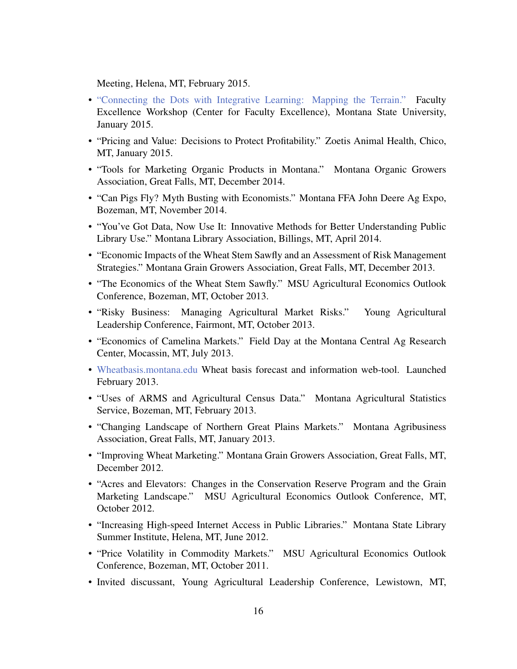Meeting, Helena, MT, February 2015.

- ["Connecting the Dots with Integrative Learning: Mapping the Terrain."](http://prezi.com/ooswgsrezd3y/) Faculty Excellence Workshop (Center for Faculty Excellence), Montana State University, January 2015.
- "Pricing and Value: Decisions to Protect Profitability." Zoetis Animal Health, Chico, MT, January 2015.
- "Tools for Marketing Organic Products in Montana." Montana Organic Growers Association, Great Falls, MT, December 2014.
- "Can Pigs Fly? Myth Busting with Economists." Montana FFA John Deere Ag Expo, Bozeman, MT, November 2014.
- "You've Got Data, Now Use It: Innovative Methods for Better Understanding Public Library Use." Montana Library Association, Billings, MT, April 2014.
- "Economic Impacts of the Wheat Stem Sawfly and an Assessment of Risk Management Strategies." Montana Grain Growers Association, Great Falls, MT, December 2013.
- "The Economics of the Wheat Stem Sawfly." MSU Agricultural Economics Outlook Conference, Bozeman, MT, October 2013.
- "Risky Business: Managing Agricultural Market Risks." Young Agricultural Leadership Conference, Fairmont, MT, October 2013.
- "Economics of Camelina Markets." Field Day at the Montana Central Ag Research Center, Mocassin, MT, July 2013.
- [Wheatbasis.montana.edu](http://wheatbasis.montana.edu) Wheat basis forecast and information web-tool. Launched February 2013.
- "Uses of ARMS and Agricultural Census Data." Montana Agricultural Statistics Service, Bozeman, MT, February 2013.
- "Changing Landscape of Northern Great Plains Markets." Montana Agribusiness Association, Great Falls, MT, January 2013.
- "Improving Wheat Marketing." Montana Grain Growers Association, Great Falls, MT, December 2012.
- "Acres and Elevators: Changes in the Conservation Reserve Program and the Grain Marketing Landscape." MSU Agricultural Economics Outlook Conference, MT, October 2012.
- "Increasing High-speed Internet Access in Public Libraries." Montana State Library Summer Institute, Helena, MT, June 2012.
- "Price Volatility in Commodity Markets." MSU Agricultural Economics Outlook Conference, Bozeman, MT, October 2011.
- Invited discussant, Young Agricultural Leadership Conference, Lewistown, MT,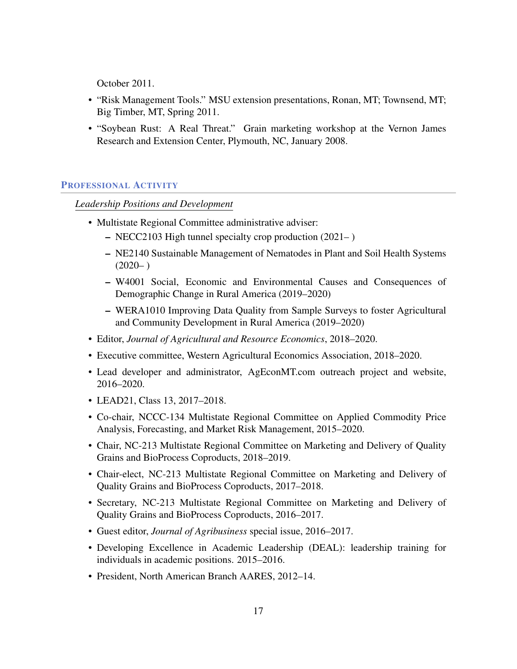October 2011.

- "Risk Management Tools." MSU extension presentations, Ronan, MT; Townsend, MT; Big Timber, MT, Spring 2011.
- "Soybean Rust: A Real Threat." Grain marketing workshop at the Vernon James Research and Extension Center, Plymouth, NC, January 2008.

### PROFESSIONAL ACTIVITY

*Leadership Positions and Development*

- Multistate Regional Committee administrative adviser:
	- NECC2103 High tunnel specialty crop production (2021– )
	- NE2140 Sustainable Management of Nematodes in Plant and Soil Health Systems  $(2020-)$
	- W4001 Social, Economic and Environmental Causes and Consequences of Demographic Change in Rural America (2019–2020)
	- WERA1010 Improving Data Quality from Sample Surveys to foster Agricultural and Community Development in Rural America (2019–2020)
- Editor, *Journal of Agricultural and Resource Economics*, 2018–2020.
- Executive committee, Western Agricultural Economics Association, 2018–2020.
- Lead developer and administrator, AgEconMT.com outreach project and website, 2016–2020.
- LEAD21, Class 13, 2017–2018.
- Co-chair, NCCC-134 Multistate Regional Committee on Applied Commodity Price Analysis, Forecasting, and Market Risk Management, 2015–2020.
- Chair, NC-213 Multistate Regional Committee on Marketing and Delivery of Quality Grains and BioProcess Coproducts, 2018–2019.
- Chair-elect, NC-213 Multistate Regional Committee on Marketing and Delivery of Quality Grains and BioProcess Coproducts, 2017–2018.
- Secretary, NC-213 Multistate Regional Committee on Marketing and Delivery of Quality Grains and BioProcess Coproducts, 2016–2017.
- Guest editor, *Journal of Agribusiness* special issue, 2016–2017.
- Developing Excellence in Academic Leadership (DEAL): leadership training for individuals in academic positions. 2015–2016.
- President, North American Branch AARES, 2012–14.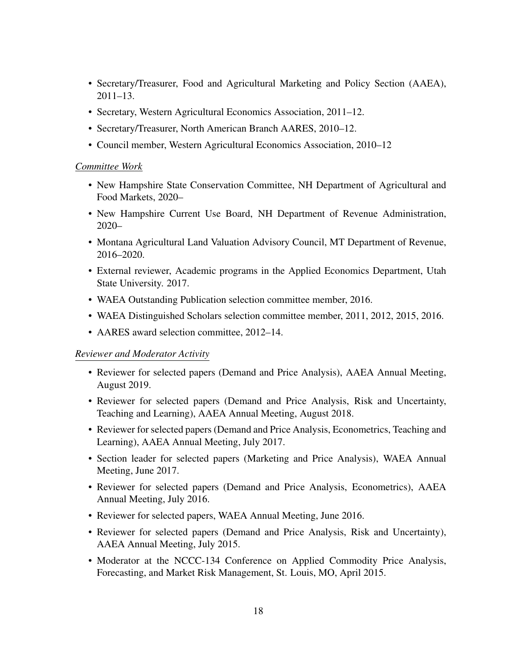- Secretary/Treasurer, Food and Agricultural Marketing and Policy Section (AAEA),  $2011 - 13$ .
- Secretary, Western Agricultural Economics Association, 2011–12.
- Secretary/Treasurer, North American Branch AARES, 2010–12.
- Council member, Western Agricultural Economics Association, 2010–12

#### *Committee Work*

- New Hampshire State Conservation Committee, NH Department of Agricultural and Food Markets, 2020–
- New Hampshire Current Use Board, NH Department of Revenue Administration, 2020–
- Montana Agricultural Land Valuation Advisory Council, MT Department of Revenue, 2016–2020.
- External reviewer, Academic programs in the Applied Economics Department, Utah State University. 2017.
- WAEA Outstanding Publication selection committee member, 2016.
- WAEA Distinguished Scholars selection committee member, 2011, 2012, 2015, 2016.
- AARES award selection committee, 2012–14.

### *Reviewer and Moderator Activity*

- Reviewer for selected papers (Demand and Price Analysis), AAEA Annual Meeting, August 2019.
- Reviewer for selected papers (Demand and Price Analysis, Risk and Uncertainty, Teaching and Learning), AAEA Annual Meeting, August 2018.
- Reviewer for selected papers (Demand and Price Analysis, Econometrics, Teaching and Learning), AAEA Annual Meeting, July 2017.
- Section leader for selected papers (Marketing and Price Analysis), WAEA Annual Meeting, June 2017.
- Reviewer for selected papers (Demand and Price Analysis, Econometrics), AAEA Annual Meeting, July 2016.
- Reviewer for selected papers, WAEA Annual Meeting, June 2016.
- Reviewer for selected papers (Demand and Price Analysis, Risk and Uncertainty), AAEA Annual Meeting, July 2015.
- Moderator at the NCCC-134 Conference on Applied Commodity Price Analysis, Forecasting, and Market Risk Management, St. Louis, MO, April 2015.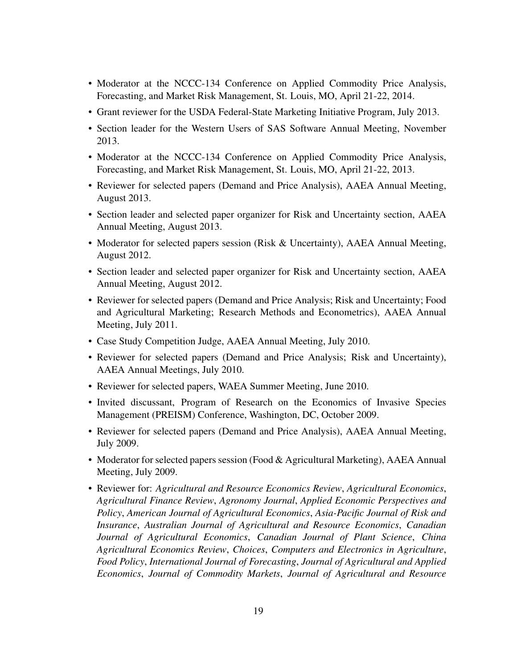- Moderator at the NCCC-134 Conference on Applied Commodity Price Analysis, Forecasting, and Market Risk Management, St. Louis, MO, April 21-22, 2014.
- Grant reviewer for the USDA Federal-State Marketing Initiative Program, July 2013.
- Section leader for the Western Users of SAS Software Annual Meeting, November 2013.
- Moderator at the NCCC-134 Conference on Applied Commodity Price Analysis, Forecasting, and Market Risk Management, St. Louis, MO, April 21-22, 2013.
- Reviewer for selected papers (Demand and Price Analysis), AAEA Annual Meeting, August 2013.
- Section leader and selected paper organizer for Risk and Uncertainty section, AAEA Annual Meeting, August 2013.
- Moderator for selected papers session (Risk & Uncertainty), AAEA Annual Meeting, August 2012.
- Section leader and selected paper organizer for Risk and Uncertainty section, AAEA Annual Meeting, August 2012.
- Reviewer for selected papers (Demand and Price Analysis; Risk and Uncertainty; Food and Agricultural Marketing; Research Methods and Econometrics), AAEA Annual Meeting, July 2011.
- Case Study Competition Judge, AAEA Annual Meeting, July 2010.
- Reviewer for selected papers (Demand and Price Analysis; Risk and Uncertainty), AAEA Annual Meetings, July 2010.
- Reviewer for selected papers, WAEA Summer Meeting, June 2010.
- Invited discussant, Program of Research on the Economics of Invasive Species Management (PREISM) Conference, Washington, DC, October 2009.
- Reviewer for selected papers (Demand and Price Analysis), AAEA Annual Meeting, July 2009.
- Moderator for selected papers session (Food & Agricultural Marketing), AAEA Annual Meeting, July 2009.
- Reviewer for: *Agricultural and Resource Economics Review*, *Agricultural Economics*, *Agricultural Finance Review*, *Agronomy Journal*, *Applied Economic Perspectives and Policy*, *American Journal of Agricultural Economics*, *Asia-Pacific Journal of Risk and Insurance*, *Australian Journal of Agricultural and Resource Economics*, *Canadian Journal of Agricultural Economics*, *Canadian Journal of Plant Science*, *China Agricultural Economics Review*, *Choices*, *Computers and Electronics in Agriculture*, *Food Policy*, *International Journal of Forecasting*, *Journal of Agricultural and Applied Economics*, *Journal of Commodity Markets*, *Journal of Agricultural and Resource*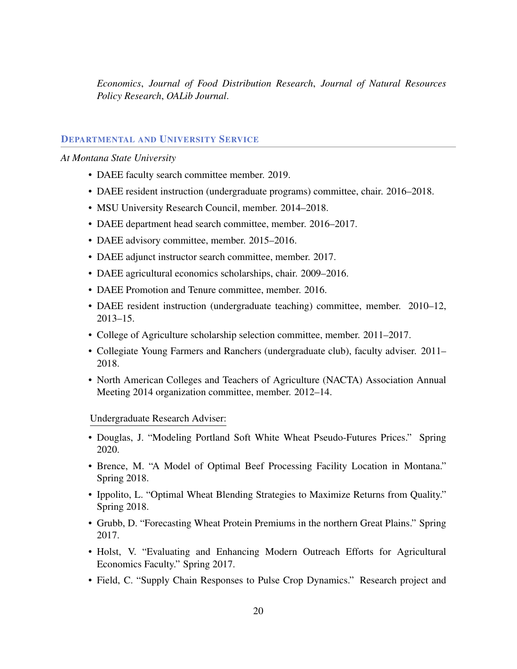*Economics*, *Journal of Food Distribution Research*, *Journal of Natural Resources Policy Research*, *OALib Journal*.

# DEPARTMENTAL AND UNIVERSITY SERVICE

#### *At Montana State University*

- DAEE faculty search committee member. 2019.
- DAEE resident instruction (undergraduate programs) committee, chair. 2016–2018.
- MSU University Research Council, member. 2014–2018.
- DAEE department head search committee, member. 2016–2017.
- DAEE advisory committee, member. 2015–2016.
- DAEE adjunct instructor search committee, member. 2017.
- DAEE agricultural economics scholarships, chair. 2009–2016.
- DAEE Promotion and Tenure committee, member. 2016.
- DAEE resident instruction (undergraduate teaching) committee, member. 2010–12, 2013–15.
- College of Agriculture scholarship selection committee, member. 2011–2017.
- Collegiate Young Farmers and Ranchers (undergraduate club), faculty adviser. 2011– 2018.
- North American Colleges and Teachers of Agriculture (NACTA) Association Annual Meeting 2014 organization committee, member. 2012–14.

Undergraduate Research Adviser:

- Douglas, J. "Modeling Portland Soft White Wheat Pseudo-Futures Prices." Spring 2020.
- Brence, M. "A Model of Optimal Beef Processing Facility Location in Montana." Spring 2018.
- Ippolito, L. "Optimal Wheat Blending Strategies to Maximize Returns from Quality." Spring 2018.
- Grubb, D. "Forecasting Wheat Protein Premiums in the northern Great Plains." Spring 2017.
- Holst, V. "Evaluating and Enhancing Modern Outreach Efforts for Agricultural Economics Faculty." Spring 2017.
- Field, C. "Supply Chain Responses to Pulse Crop Dynamics." Research project and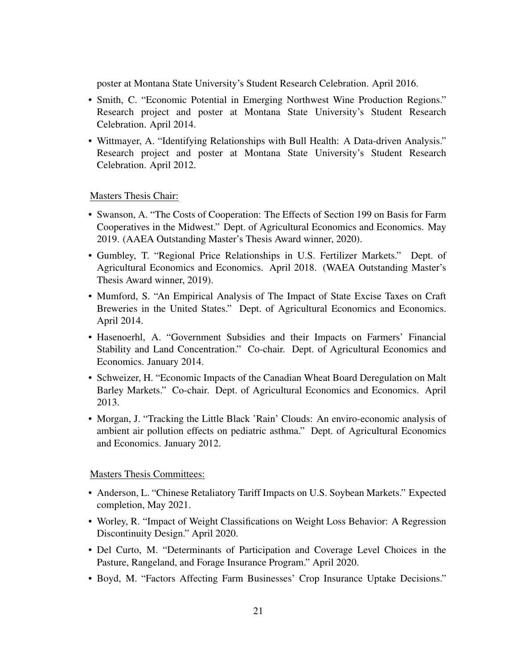poster at Montana State University's Student Research Celebration. April 2016.

- Smith, C. "Economic Potential in Emerging Northwest Wine Production Regions." Research project and poster at Montana State University's Student Research Celebration. April 2014.
- Wittmayer, A. "Identifying Relationships with Bull Health: A Data-driven Analysis." Research project and poster at Montana State University's Student Research Celebration. April 2012.

# Masters Thesis Chair:

- Swanson, A. "The Costs of Cooperation: The Effects of Section 199 on Basis for Farm Cooperatives in the Midwest." Dept. of Agricultural Economics and Economics. May 2019. (AAEA Outstanding Master's Thesis Award winner, 2020).
- Gumbley, T. "Regional Price Relationships in U.S. Fertilizer Markets." Dept. of Agricultural Economics and Economics. April 2018. (WAEA Outstanding Master's Thesis Award winner, 2019).
- Mumford, S. "An Empirical Analysis of The Impact of State Excise Taxes on Craft Breweries in the United States." Dept. of Agricultural Economics and Economics. April 2014.
- Hasenoerhl, A. "Government Subsidies and their Impacts on Farmers' Financial Stability and Land Concentration." Co-chair. Dept. of Agricultural Economics and Economics. January 2014.
- Schweizer, H. "Economic Impacts of the Canadian Wheat Board Deregulation on Malt Barley Markets." Co-chair. Dept. of Agricultural Economics and Economics. April 2013.
- Morgan, J. "Tracking the Little Black 'Rain' Clouds: An enviro-economic analysis of ambient air pollution effects on pediatric asthma." Dept. of Agricultural Economics and Economics. January 2012.

### Masters Thesis Committees:

- Anderson, L. "Chinese Retaliatory Tariff Impacts on U.S. Soybean Markets." Expected completion, May 2021.
- Worley, R. "Impact of Weight Classifications on Weight Loss Behavior: A Regression Discontinuity Design." April 2020.
- Del Curto, M. "Determinants of Participation and Coverage Level Choices in the Pasture, Rangeland, and Forage Insurance Program." April 2020.
- Boyd, M. "Factors Affecting Farm Businesses' Crop Insurance Uptake Decisions."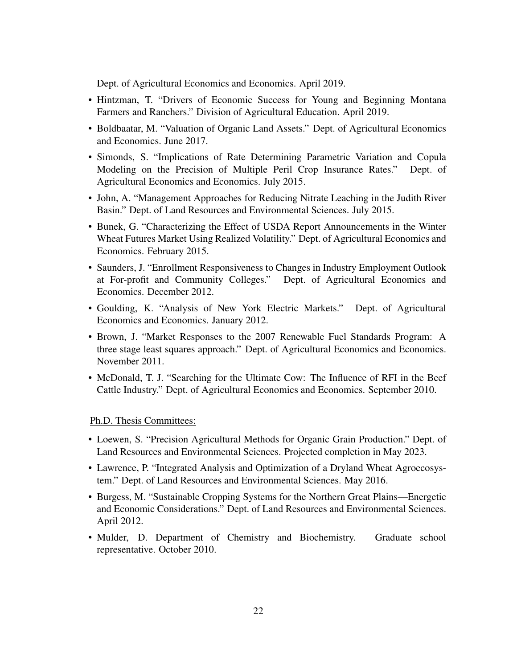Dept. of Agricultural Economics and Economics. April 2019.

- Hintzman, T. "Drivers of Economic Success for Young and Beginning Montana Farmers and Ranchers." Division of Agricultural Education. April 2019.
- Boldbaatar, M. "Valuation of Organic Land Assets." Dept. of Agricultural Economics and Economics. June 2017.
- Simonds, S. "Implications of Rate Determining Parametric Variation and Copula Modeling on the Precision of Multiple Peril Crop Insurance Rates." Dept. of Agricultural Economics and Economics. July 2015.
- John, A. "Management Approaches for Reducing Nitrate Leaching in the Judith River Basin." Dept. of Land Resources and Environmental Sciences. July 2015.
- Bunek, G. "Characterizing the Effect of USDA Report Announcements in the Winter Wheat Futures Market Using Realized Volatility." Dept. of Agricultural Economics and Economics. February 2015.
- Saunders, J. "Enrollment Responsiveness to Changes in Industry Employment Outlook at For-profit and Community Colleges." Dept. of Agricultural Economics and Economics. December 2012.
- Goulding, K. "Analysis of New York Electric Markets." Dept. of Agricultural Economics and Economics. January 2012.
- Brown, J. "Market Responses to the 2007 Renewable Fuel Standards Program: A three stage least squares approach." Dept. of Agricultural Economics and Economics. November 2011.
- McDonald, T. J. "Searching for the Ultimate Cow: The Influence of RFI in the Beef Cattle Industry." Dept. of Agricultural Economics and Economics. September 2010.

Ph.D. Thesis Committees:

- Loewen, S. "Precision Agricultural Methods for Organic Grain Production." Dept. of Land Resources and Environmental Sciences. Projected completion in May 2023.
- Lawrence, P. "Integrated Analysis and Optimization of a Dryland Wheat Agroecosystem." Dept. of Land Resources and Environmental Sciences. May 2016.
- Burgess, M. "Sustainable Cropping Systems for the Northern Great Plains—Energetic and Economic Considerations." Dept. of Land Resources and Environmental Sciences. April 2012.
- Mulder, D. Department of Chemistry and Biochemistry. Graduate school representative. October 2010.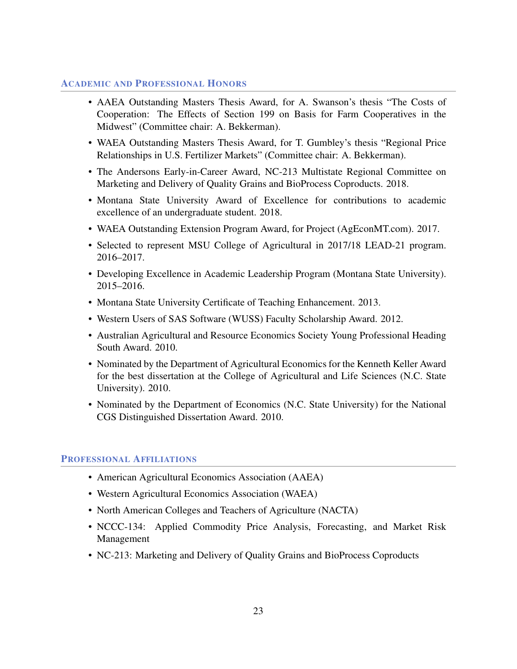# ACADEMIC AND PROFESSIONAL HONORS

- AAEA Outstanding Masters Thesis Award, for A. Swanson's thesis "The Costs of Cooperation: The Effects of Section 199 on Basis for Farm Cooperatives in the Midwest" (Committee chair: A. Bekkerman).
- WAEA Outstanding Masters Thesis Award, for T. Gumbley's thesis "Regional Price Relationships in U.S. Fertilizer Markets" (Committee chair: A. Bekkerman).
- The Andersons Early-in-Career Award, NC-213 Multistate Regional Committee on Marketing and Delivery of Quality Grains and BioProcess Coproducts. 2018.
- Montana State University Award of Excellence for contributions to academic excellence of an undergraduate student. 2018.
- WAEA Outstanding Extension Program Award, for Project (AgEconMT.com). 2017.
- Selected to represent MSU College of Agricultural in 2017/18 LEAD-21 program. 2016–2017.
- Developing Excellence in Academic Leadership Program (Montana State University). 2015–2016.
- Montana State University Certificate of Teaching Enhancement. 2013.
- Western Users of SAS Software (WUSS) Faculty Scholarship Award. 2012.
- Australian Agricultural and Resource Economics Society Young Professional Heading South Award. 2010.
- Nominated by the Department of Agricultural Economics for the Kenneth Keller Award for the best dissertation at the College of Agricultural and Life Sciences (N.C. State University). 2010.
- Nominated by the Department of Economics (N.C. State University) for the National CGS Distinguished Dissertation Award. 2010.

### PROFESSIONAL AFFILIATIONS

- American Agricultural Economics Association (AAEA)
- Western Agricultural Economics Association (WAEA)
- North American Colleges and Teachers of Agriculture (NACTA)
- NCCC-134: Applied Commodity Price Analysis, Forecasting, and Market Risk Management
- NC-213: Marketing and Delivery of Quality Grains and BioProcess Coproducts